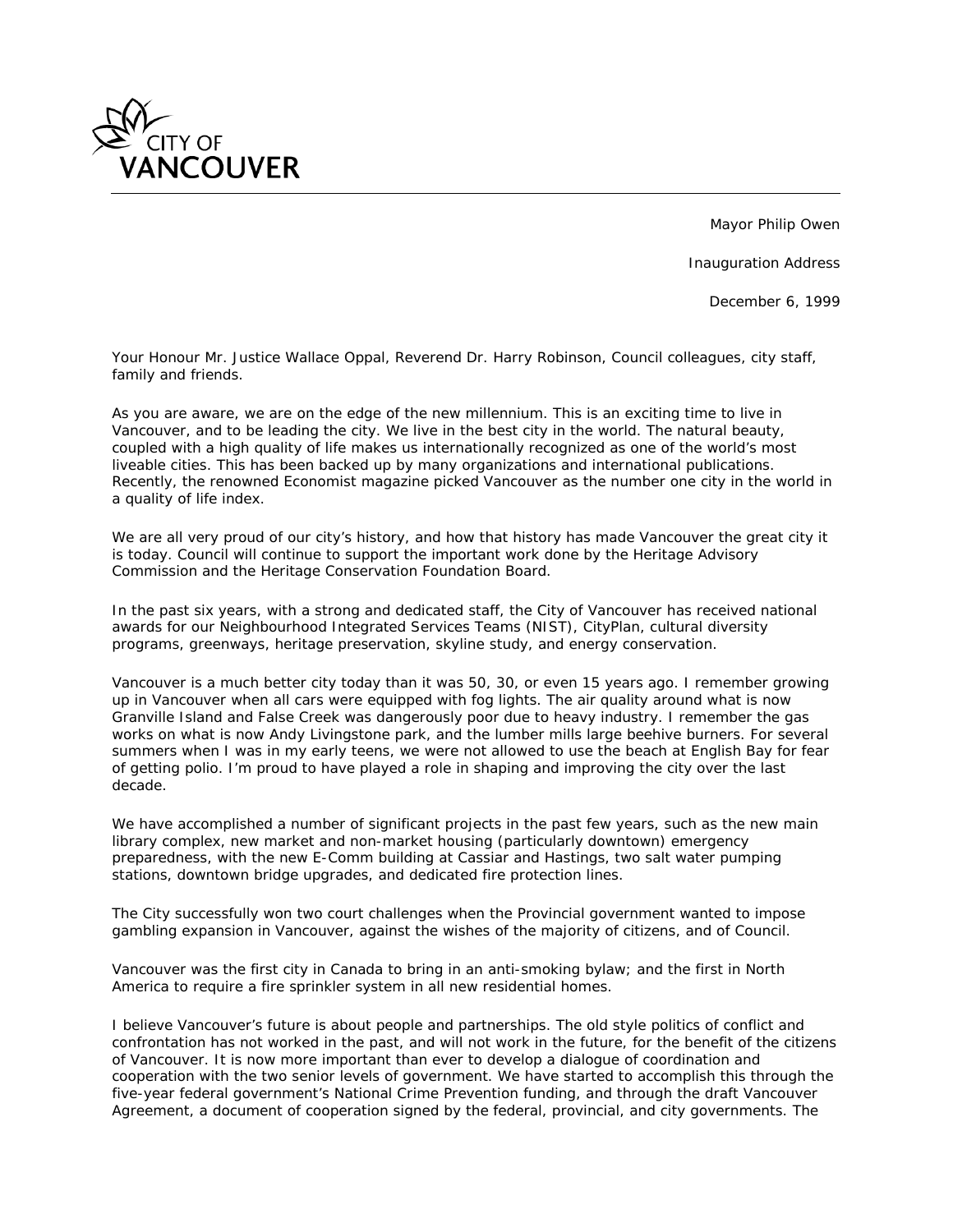

Mayor Philip Owen

Inauguration Address

December 6, 1999

*Your Honour Mr. Justice Wallace Oppal, Reverend Dr. Harry Robinson, Council colleagues, city staff, family and friends.*

*As you are aware, we are on the edge of the new millennium. This is an exciting time to live in Vancouver, and to be leading the city. We live in the best city in the world. The natural beauty, coupled with a high quality of life makes us internationally recognized as one of the world's most liveable cities. This has been backed up by many organizations and international publications. Recently, the renowned Economist magazine picked Vancouver as the number one city in the world in a quality of life index.*

*We are all very proud of our city's history, and how that history has made Vancouver the great city it is today. Council will continue to support the important work done by the Heritage Advisory Commission and the Heritage Conservation Foundation Board.*

In the past six years, with a strong and dedicated staff, the City of Vancouver has received national *awards for our Neighbourhood Integrated Services Teams (NIST), CityPlan, cultural diversity programs, greenways, heritage preservation, skyline study, and energy conservation.*

Vancouver is a much better city today than it was 50, 30, or even 15 years ago. I remember growing *up in Vancouver when all cars were equipped with fog lights. The air quality around what is now Granville Island and False Creek was dangerously poor due to heavy industry. I remember the gas works on what is now Andy Livingstone park, and the lumber mills large beehive burners. For several summers when I was in my early teens, we were not allowed to use the beach at English Bay for fear of getting polio. I'm proud to have played a role in shaping and improving the city over the last decade.*

*We have accomplished a number of significant projects in the past few years, such as the new main library complex, new market and non-market housing (particularly downtown) emergency preparedness, with the new E-Comm building at Cassiar and Hastings, two salt water pumping stations, downtown bridge upgrades, and dedicated fire protection lines.*

*The City successfully won two court challenges when the Provincial government wanted to impose gambling expansion in Vancouver, against the wishes of the majority of citizens, and of Council.*

*Vancouver was the first city in Canada to bring in an anti-smoking bylaw; and the first in North America to require a fire sprinkler system in all new residential homes.*

*I believe Vancouver's future is about people and partnerships. The old style politics of conflict and confrontation has not worked in the past, and will not work in the future, for the benefit of the citizens of Vancouver. It is now more important than ever to develop a dialogue of coordination and*  cooperation with the two senior levels of government. We have started to accomplish this through the *five-year federal government's National Crime Prevention funding, and through the draft Vancouver Agreement, a document of cooperation signed by the federal, provincial, and city governments. The*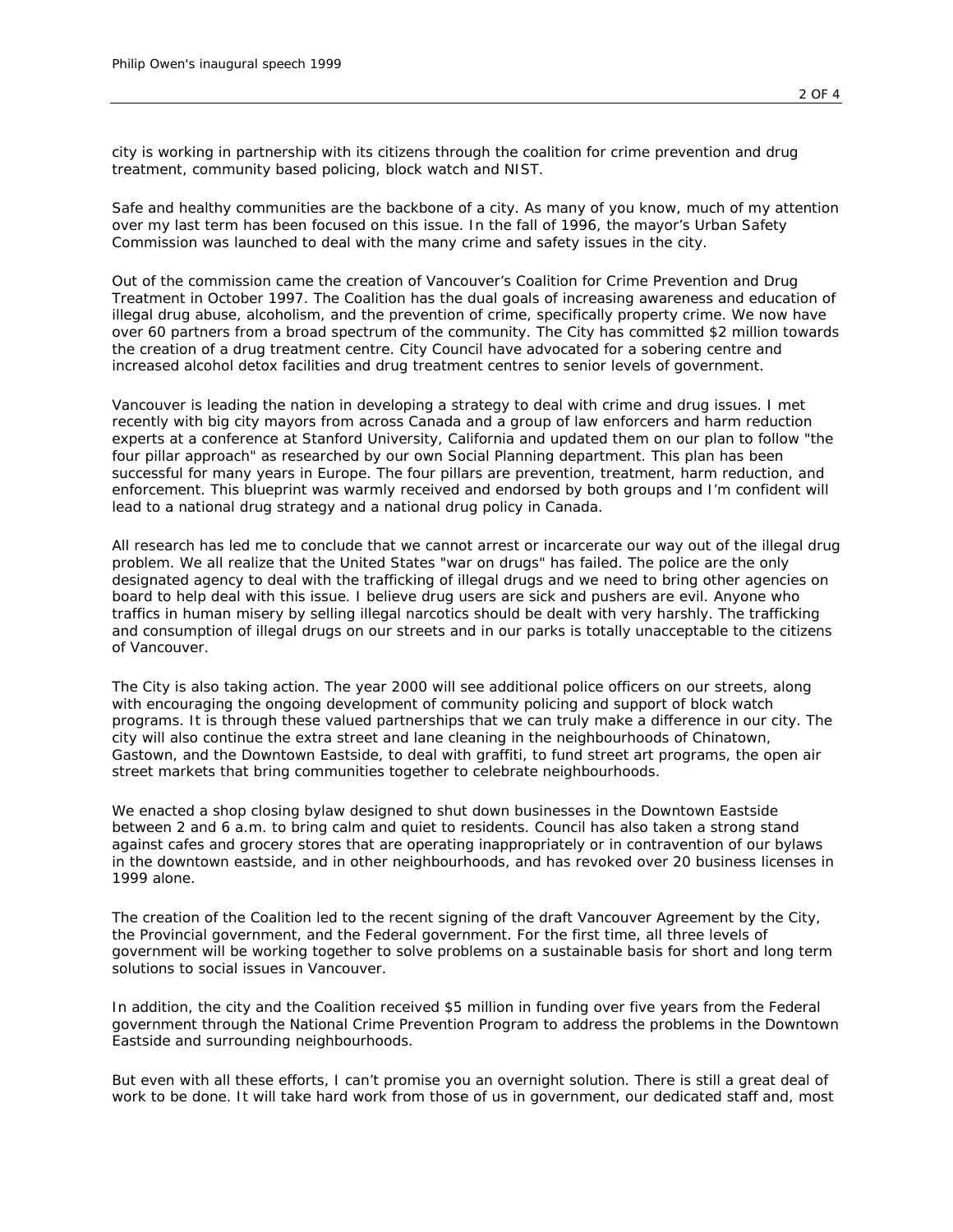*city is working in partnership with its citizens through the coalition for crime prevention and drug treatment, community based policing, block watch and NIST.*

*Safe and healthy communities are the backbone of a city. As many of you know, much of my attention over my last term has been focused on this issue. In the fall of 1996, the mayor's Urban Safety Commission was launched to deal with the many crime and safety issues in the city.*

*Out of the commission came the creation of Vancouver's Coalition for Crime Prevention and Drug Treatment in October 1997. The Coalition has the dual goals of increasing awareness and education of illegal drug abuse, alcoholism, and the prevention of crime, specifically property crime. We now have over 60 partners from a broad spectrum of the community. The City has committed \$2 million towards the creation of a drug treatment centre. City Council have advocated for a sobering centre and increased alcohol detox facilities and drug treatment centres to senior levels of government.*

Vancouver is leading the nation in developing a strategy to deal with crime and drug issues. I met *recently with big city mayors from across Canada and a group of law enforcers and harm reduction experts at a conference at Stanford University, California and updated them on our plan to follow "the four pillar approach" as researched by our own Social Planning department. This plan has been successful for many years in Europe. The four pillars are prevention, treatment, harm reduction, and enforcement. This blueprint was warmly received and endorsed by both groups and I'm confident will lead to a national drug strategy and a national drug policy in Canada.*

*All research has led me to conclude that we cannot arrest or incarcerate our way out of the illegal drug problem. We all realize that the United States "war on drugs" has failed. The police are the only designated agency to deal with the trafficking of illegal drugs and we need to bring other agencies on board to help deal with this issue. I believe drug users are sick and pushers are evil. Anyone who traffics in human misery by selling illegal narcotics should be dealt with very harshly. The trafficking and consumption of illegal drugs on our streets and in our parks is totally unacceptable to the citizens of Vancouver.*

*The City is also taking action. The year 2000 will see additional police officers on our streets, along with encouraging the ongoing development of community policing and support of block watch programs. It is through these valued partnerships that we can truly make a difference in our city. The city will also continue the extra street and lane cleaning in the neighbourhoods of Chinatown, Gastown, and the Downtown Eastside, to deal with graffiti, to fund street art programs, the open air street markets that bring communities together to celebrate neighbourhoods.*

*We enacted a shop closing bylaw designed to shut down businesses in the Downtown Eastside between 2 and 6 a.m. to bring calm and quiet to residents. Council has also taken a strong stand against cafes and grocery stores that are operating inappropriately or in contravention of our bylaws in the downtown eastside, and in other neighbourhoods, and has revoked over 20 business licenses in 1999 alone.*

*The creation of the Coalition led to the recent signing of the draft Vancouver Agreement by the City, the Provincial government, and the Federal government. For the first time, all three levels of government will be working together to solve problems on a sustainable basis for short and long term solutions to social issues in Vancouver.*

*In addition, the city and the Coalition received \$5 million in funding over five years from the Federal government through the National Crime Prevention Program to address the problems in the Downtown Eastside and surrounding neighbourhoods.*

*But even with all these efforts, I can't promise you an overnight solution. There is still a great deal of work to be done. It will take hard work from those of us in government, our dedicated staff and, most*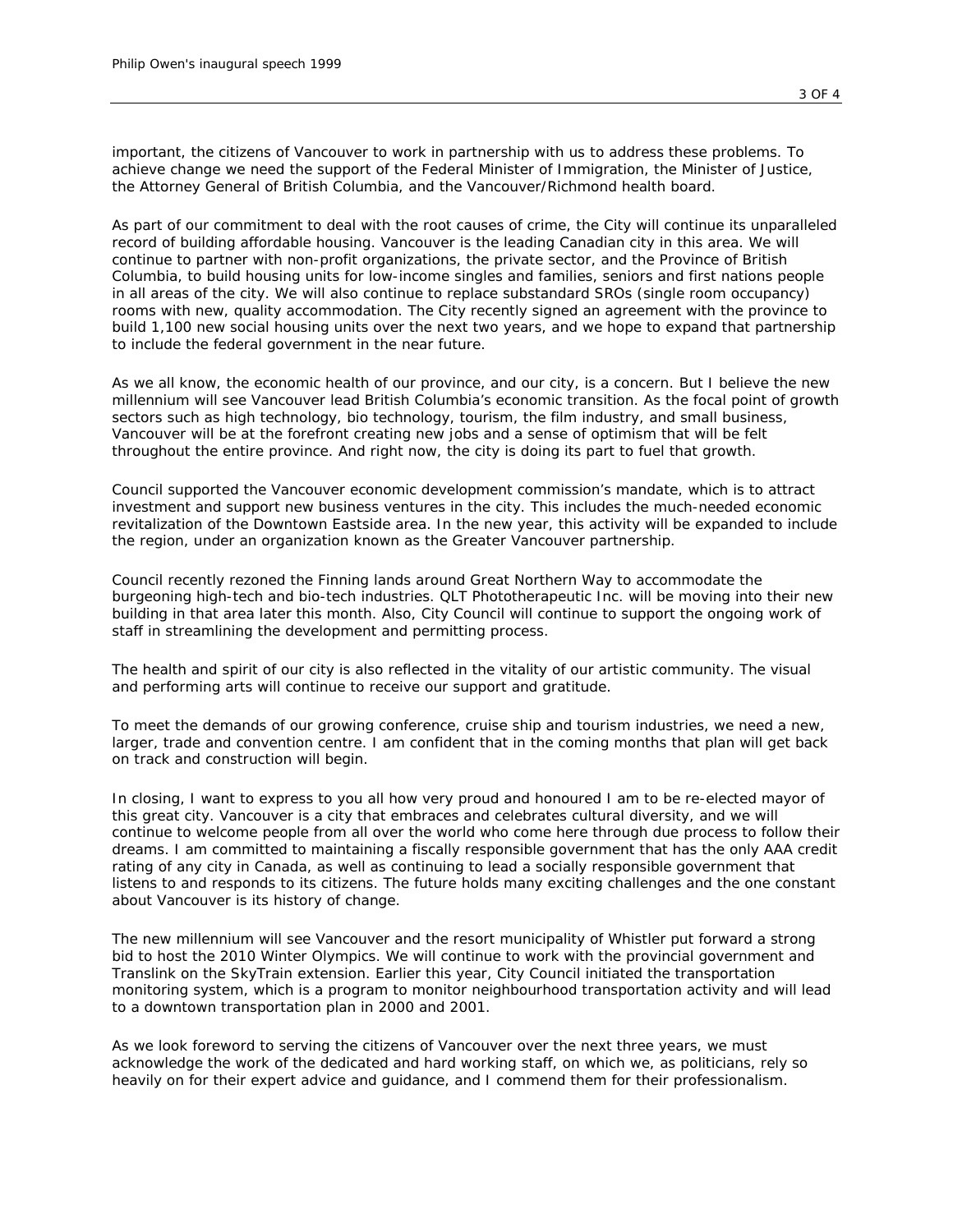*important, the citizens of Vancouver to work in partnership with us to address these problems. To achieve change we need the support of the Federal Minister of Immigration, the Minister of Justice, the Attorney General of British Columbia, and the Vancouver/Richmond health board.*

*As part of our commitment to deal with the root causes of crime, the City will continue its unparalleled record of building affordable housing. Vancouver is the leading Canadian city in this area. We will continue to partner with non-profit organizations, the private sector, and the Province of British Columbia, to build housing units for low-income singles and families, seniors and first nations people in all areas of the city. We will also continue to replace substandard SROs (single room occupancy) rooms with new, quality accommodation. The City recently signed an agreement with the province to build 1,100 new social housing units over the next two years, and we hope to expand that partnership to include the federal government in the near future.*

*As we all know, the economic health of our province, and our city, is a concern. But I believe the new millennium will see Vancouver lead British Columbia's economic transition. As the focal point of growth sectors such as high technology, bio technology, tourism, the film industry, and small business, Vancouver will be at the forefront creating new jobs and a sense of optimism that will be felt throughout the entire province. And right now, the city is doing its part to fuel that growth.*

*Council supported the Vancouver economic development commission's mandate, which is to attract investment and support new business ventures in the city. This includes the much-needed economic revitalization of the Downtown Eastside area. In the new year, this activity will be expanded to include the region, under an organization known as the Greater Vancouver partnership.*

*Council recently rezoned the Finning lands around Great Northern Way to accommodate the burgeoning high-tech and bio-tech industries. QLT Phototherapeutic Inc. will be moving into their new*  building in that area later this month. Also, City Council will continue to support the ongoing work of *staff in streamlining the development and permitting process.*

*The health and spirit of our city is also reflected in the vitality of our artistic community. The visual and performing arts will continue to receive our support and gratitude.*

*To meet the demands of our growing conference, cruise ship and tourism industries, we need a new, larger, trade and convention centre. I am confident that in the coming months that plan will get back on track and construction will begin.*

*In closing, I want to express to you all how very proud and honoured I am to be re-elected mayor of*  this great city. Vancouver is a city that embraces and celebrates cultural diversity, and we will *continue to welcome people from all over the world who come here through due process to follow their dreams. I am committed to maintaining a fiscally responsible government that has the only AAA credit rating of any city in Canada, as well as continuing to lead a socially responsible government that listens to and responds to its citizens. The future holds many exciting challenges and the one constant about Vancouver is its history of change.*

*The new millennium will see Vancouver and the resort municipality of Whistler put forward a strong bid to host the 2010 Winter Olympics. We will continue to work with the provincial government and Translink on the SkyTrain extension. Earlier this year, City Council initiated the transportation monitoring system, which is a program to monitor neighbourhood transportation activity and will lead to a downtown transportation plan in 2000 and 2001.*

*As we look foreword to serving the citizens of Vancouver over the next three years, we must acknowledge the work of the dedicated and hard working staff, on which we, as politicians, rely so heavily on for their expert advice and guidance, and I commend them for their professionalism.*